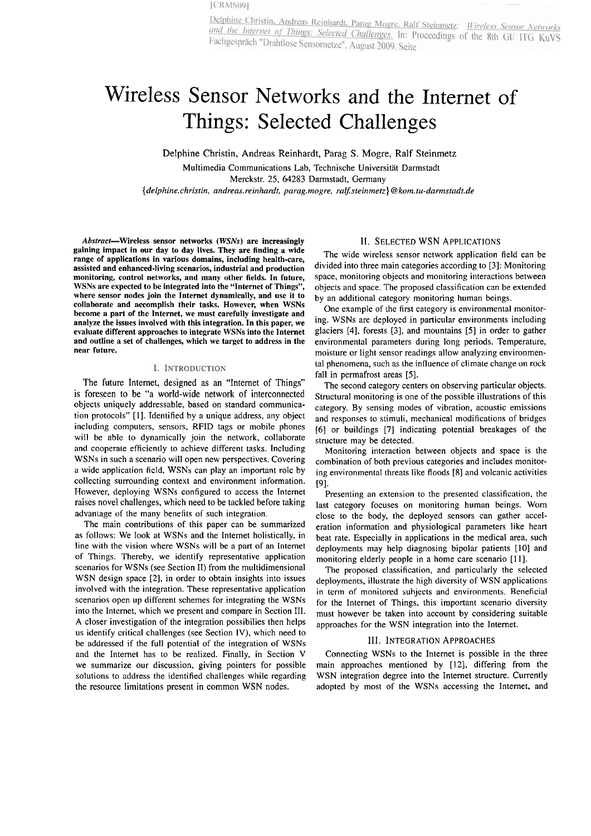# Wireless Sensor Networks and the Internet of Things: Selected Challenges

Delphine Christin, Andreas Reinhardt, Parag S. Mogre, Ralf Steinmetz

Multimedia Communications Lab, Technische Universität Darmstadt Merckstr. 25, 64283 Darmstadt, Germany *{delphine.christin, andreas.reinhurdt, parag.mogre, ra&steinmetz) @kom.tu-darrnstadr.de* 

Abstract-Wireless sensor networks (WSNs) are increasingly gaining impact in our day to day lives. They are finding a wide range of applications in various domains, including health-care, assisted and enhanced-living scenarios, industrial and production monitoring, control networks, and many other fields. In future, WSNs are expected to be integrated into the "Internet of Things", where sensor nodes join the Internet dynamically, and use it to collaborate and accomplish their tasks. However, when WSNs become a part of the Internet, we must carefully investigate and analyze the issues involved with this integration. In this paper, we evaluate different approaches to integrate WSNs into the Internet and outline a Set of challenges, which we target to address in the near future.

# I. INTRODUCTION

The future Internet, designed as an "Internet of Things" is foreseen to be "a world-wide network of interconnected objects uniquely addressable, based on standard communication protocols" [I]. Tdentified by a unique address, any object including Computers, sensors, RFID tags or mobile phones will be able to dynamically join the network, collaborate and cooperate efficiently to achieve different tasks. Including WSNs in such a scenario will open new perspectives. Covering **a** wide application ficld, WSNs can play an iniportant rolc by collecting surrounding context and environment information. However, deploying WSNs configured to access the Internet raises novel challenges, which need to be tackled before taking advaniage of ihe many benefits of such integration.

The main contributions of this paper can be summarized as follows: We look at WSNs and the Internet holistically, in line with the vision where WSNs will be a part of an Intemet of Things. Thereby, we identify representative application scenarios for WSNs (see Section II) from the multidimensional WSN design space [2], in order to obtain insights into issues involved with the integration. These representative application scenarios Open up different schemes for integrating the WSNs into the Internet, which we present and compare in Section 111. A closer investigation of the integration possibilies then helps us identify critical challenges (see Section IV), which need to be addressed if the full potential of the integration of WSNs and the Internet has to be realized. Finally, in Section V we summarize our discussion, giving pointers for possible solutions to address the identified challenges while regarding the resource limitations present in common WSN nodes.

## 11. SELECTED WSN APPLICATIONS

The wide wireless sensor network application field can be divided into three main categories according to [3]: Monitoring space, monitoring objects and monitoring interactions between objects and space. The proposed classification can be extended by an additional category monitoring human beings.

One example of the first category is environmental monitoring. WSNs are deployed in particular environments including glaciers [4], forests [3], and mountains [5] in order to gather environmental parameters during long periods. Temperature, moisture or light sensor readings allow analyzing environmental phenomena, such as the influence of climate change on rock fall in permafrost areas [5].

The second category centers on observing particular objects. Structural monitoring is one of the possible illustrations of this category. By sensing modes of vibration, acoustic emissions and responses to stimuli, mechanical modifications of bridges [6] or buildings [7] indicating potential breakages of the structure may be detected.

Monitoring interaction between objects and space is the combination of both previous categories and includes monitoring environmental threats like floods [8] and volcanic activities 191.

Presenting an extension to the presented classification, the last category focuses on monitoring human beings. Worn close to the body, the deployed sensors can gather acceleration information and physiological parameters like heart beat rate. Especially in applications in the medical area, such deployments may help diagnosing bipolar patients [10] and monitoring elderly people in a home care scenario [11].

The proposed classification, and particularly the selected deployments, illustrate the high diversity of WSN applications in term of monitored suhjects and environments. Reneficial for the Internet of Things, this important scenario diversity must however be taken into account by considering suitable approaches for the WSN integration into the Internet.

#### 111. INTEGRATION APPROACHES

Connecting WSNs to the Intemet is possible in the three main approaches mentioned by [12], differing from the WSN integration degree into the Internet structure. Currently adopted by most of the WSNs accessing the Internet, and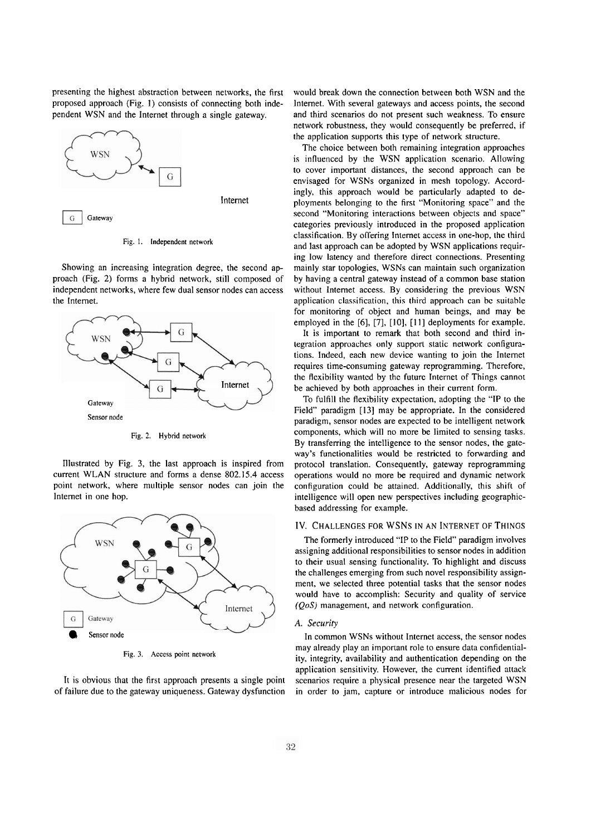presenting the highest abstraction between networks, the first proposed approach (Fig. 1) consists of connecting both independent WSN and the Internet through a single gateway.



Fig. I. Independent network

Showing an increasing integration degree, the second approach (Fig. 2) forms a hybrid network, still composed of independent networks, where few dual sensor nodes can access the Intemet.



Fig. 2. Hybrid network

Illustrated by Fig. 3, the last approach is inspired from current WLAN structure and forms a dense 802.15.4 access point network, where multiple sensor nodes can join the Intemet in one hop.



**Fig. 3.** Access point network

It is obvious that the first approach presents a single point of failure due to the gateway uniqueness. Gateway dysfunction would break down the connection between both WSN and the Intemet. With several gateways and access points, the second and third scenarios do not present such weakness. To ensure network robustness, they would consequently be preferred, if the application supports this type of network structure.

The choice between both remaining integration approaches is influenced by the WSN application scenario. Allowing to Cover important distances, the second approach can be envisaged for WSNs organized in mesh topology. Accordingly, this approach would be particularly adapted to deployments belonging to the first "Monitoring space" and the second "Monitoring interactions between objects and space" categories previously introduced in the proposed application classification. By offering Internet access in one-hop, the third and last approach can be adopted by WSN applications requiring low latency and therefore direct connections. Presenting mainly Star topologies, WSNs can maintain such oganization by having a central gateway instead of a common base station without Intemet access. By considering the previous WSN application classification, this third approach can bc suitable for monitoring of object and human beings, and may be employed in the **[6],** [7], [IO], [I I] deployments for example.

It is important to remark that both second and third in tegration approaches only support static network configurations. Indeed, each new device wanting to join the Intemet requires time-consuming gateway reprogramming. Therefore, the flcxibility wantcd by thc futurc Internct of Things cannot be achieved by both approaches in their current form.

To fulfill the flexibility expectation, adopting the **"1P** to the Field" paradigm [I31 may be appropriate. In the considered paradigm, sensor nodes are expected to be intelligent network components, which will no more be limited to sensing tasks. By transferring the intelligence to the sensor nodes, the gateway's functionalities would be restricted to forwarding and protocol translation. Consequently, gateway reprogramming operations would no more be required and dynamic network configuration could be attained. Additionally, this shift of intelligence will Open new perspectives including geographicbased addressing for example.

## IV. CHALLENGES FOR WSNS IN AN INTERNET OF THINGS

The formerly introduced "IP to the Field" paradigm involves assigning additional responsibilities to sensor nodes in addition to their usual sensing functionality. To highlight and discuss the challenges emerging from such novel responsibility assignment, we selected three potential tasks that the sensor nodes would have to accomplish: Security and quality of service **(QoS)** management, and network configuration.

## **A.** *Security*

In common WSNs without Internet access, the sensor nodes may already play an important role to ensure data confidentiality, integrity, availability and authentication depending on the application sensitivity. However, the current identified attack scenarios require a physical presence near the targeted WSN in order to jam, capture or introduce malicious nodes for